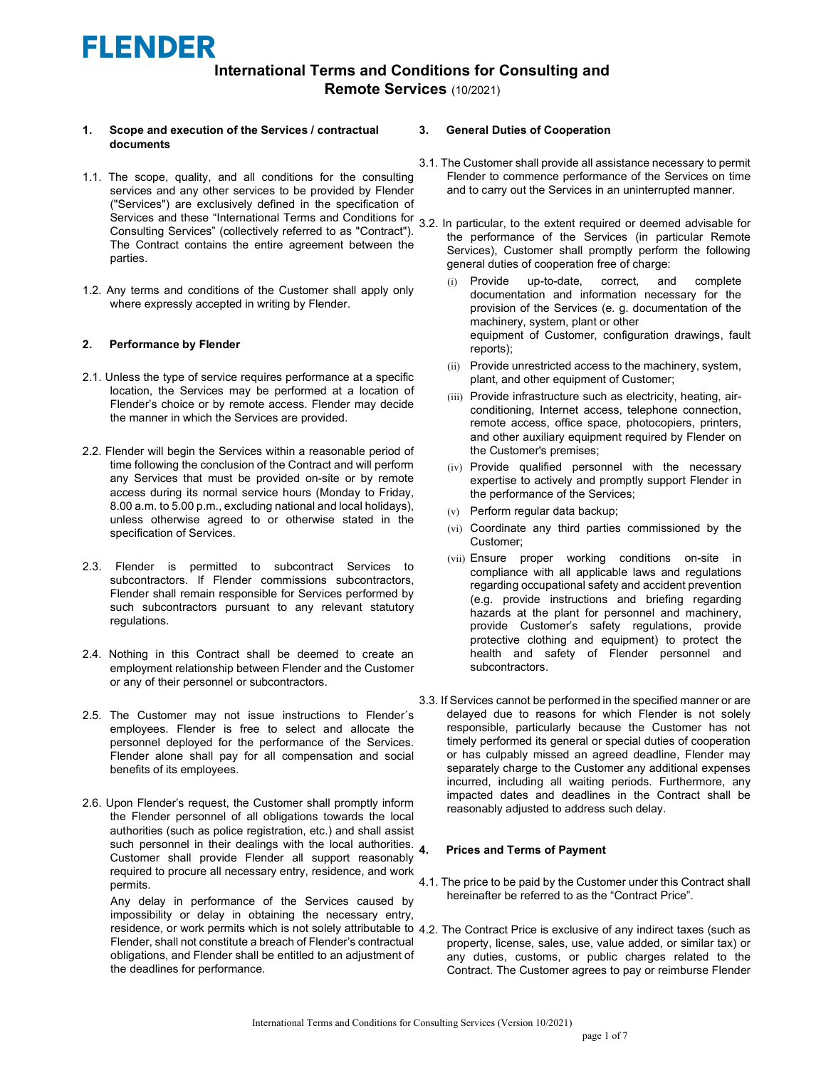#### 1. Scope and execution of the Services / contractual documents

- 1.1. The scope, quality, and all conditions for the consulting services and any other services to be provided by Flender ("Services") are exclusively defined in the specification of Services and these "International Terms and Conditions for 3.2. In particular, to the extent required or deemed advisable for<br>Canaclinar Camicar & (alleatively referred to as "Cantract"), 3.2. In particular, to the extent Consulting Services" (collectively referred to as "Contract"). The Contract contains the entire agreement between the parties.
- 1.2. Any terms and conditions of the Customer shall apply only where expressly accepted in writing by Flender.

### 2. Performance by Flender

- 2.1. Unless the type of service requires performance at a specific location, the Services may be performed at a location of Flender's choice or by remote access. Flender may decide the manner in which the Services are provided.
- 2.2. Flender will begin the Services within a reasonable period of time following the conclusion of the Contract and will perform any Services that must be provided on-site or by remote access during its normal service hours (Monday to Friday, 8.00 a.m. to 5.00 p.m., excluding national and local holidays), unless otherwise agreed to or otherwise stated in the specification of Services.
- 2.3. Flender is permitted to subcontract Services to subcontractors. If Flender commissions subcontractors, Flender shall remain responsible for Services performed by such subcontractors pursuant to any relevant statutory regulations.
- 2.4. Nothing in this Contract shall be deemed to create an employment relationship between Flender and the Customer or any of their personnel or subcontractors.
- 2.5. The Customer may not issue instructions to Flender´s employees. Flender is free to select and allocate the personnel deployed for the performance of the Services. Flender alone shall pay for all compensation and social benefits of its employees.
- 2.6. Upon Flender's request, the Customer shall promptly inform the Flender personnel of all obligations towards the local authorities (such as police registration, etc.) and shall assist such personnel in their dealings with the local authorities.  $\boldsymbol{A}$ . Customer shall provide Flender all support reasonably required to procure all necessary entry, residence, and work permits.

Any delay in performance of the Services caused by impossibility or delay in obtaining the necessary entry, Flender, shall not constitute a breach of Flender's contractual obligations, and Flender shall be entitled to an adjustment of the deadlines for performance.

### 3. General Duties of Cooperation

- 3.1. The Customer shall provide all assistance necessary to permit Flender to commence performance of the Services on time and to carry out the Services in an uninterrupted manner.
- the performance of the Services (in particular Remote Services), Customer shall promptly perform the following general duties of cooperation free of charge:
	- (i) Provide up-to-date, correct, and complete documentation and information necessary for the provision of the Services (e. g. documentation of the machinery, system, plant or other equipment of Customer, configuration drawings, fault reports);
	- (ii) Provide unrestricted access to the machinery, system, plant, and other equipment of Customer;
	- (iii) Provide infrastructure such as electricity, heating, airconditioning, Internet access, telephone connection, remote access, office space, photocopiers, printers, and other auxiliary equipment required by Flender on the Customer's premises;
	- (iv) Provide qualified personnel with the necessary expertise to actively and promptly support Flender in the performance of the Services;
	- (v) Perform regular data backup;
	- (vi) Coordinate any third parties commissioned by the Customer;
	- (vii) Ensure proper working conditions on-site in compliance with all applicable laws and regulations regarding occupational safety and accident prevention (e.g. provide instructions and briefing regarding hazards at the plant for personnel and machinery, provide Customer's safety regulations, provide protective clothing and equipment) to protect the health and safety of Flender personnel and subcontractors.
- 3.3. If Services cannot be performed in the specified manner or are delayed due to reasons for which Flender is not solely responsible, particularly because the Customer has not timely performed its general or special duties of cooperation or has culpably missed an agreed deadline, Flender may separately charge to the Customer any additional expenses incurred, including all waiting periods. Furthermore, any impacted dates and deadlines in the Contract shall be reasonably adjusted to address such delay.

#### Prices and Terms of Payment

- 4.1. The price to be paid by the Customer under this Contract shall hereinafter be referred to as the "Contract Price".
- residence, or work permits which is not solely attributable to 4.2. The Contract Price is exclusive of any indirect taxes (such as property, license, sales, use, value added, or similar tax) or any duties, customs, or public charges related to the Contract. The Customer agrees to pay or reimburse Flender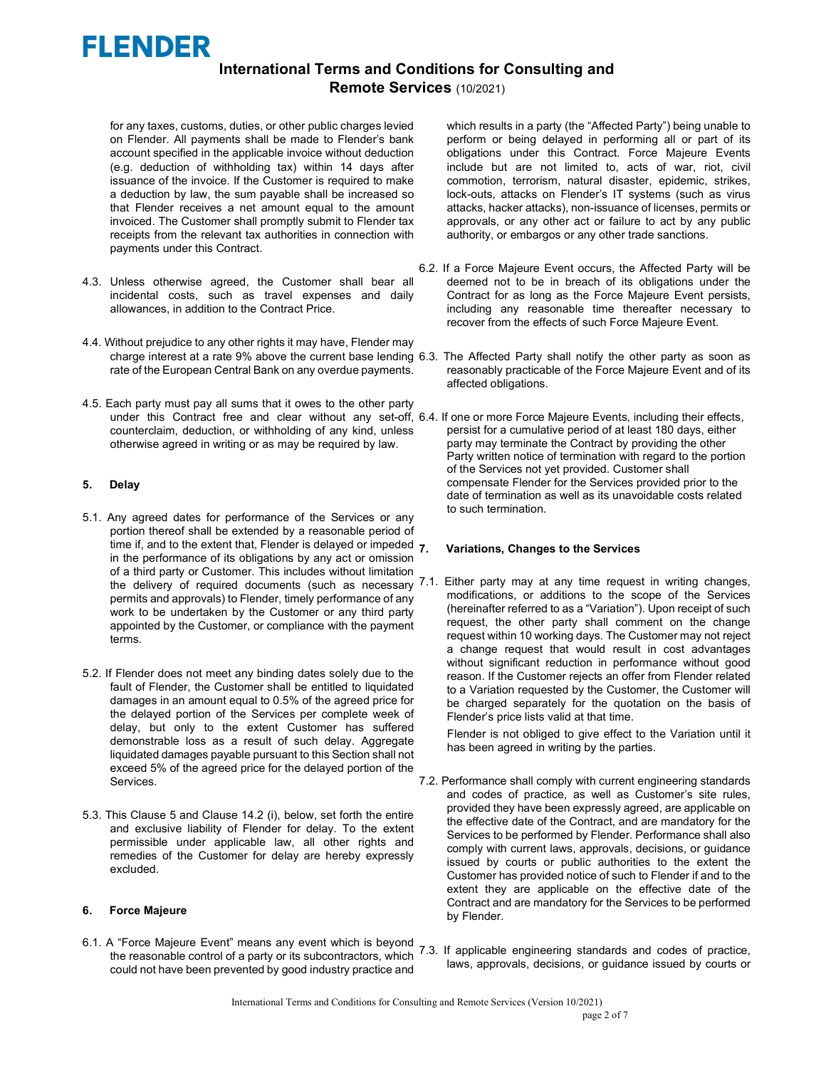

for any taxes, customs, duties, or other public charges levied on Flender. All payments shall be made to Flender's bank account specified in the applicable invoice without deduction (e.g. deduction of withholding tax) within 14 days after issuance of the invoice. If the Customer is required to make a deduction by law, the sum payable shall be increased so that Flender receives a net amount equal to the amount invoiced. The Customer shall promptly submit to Flender tax receipts from the relevant tax authorities in connection with payments under this Contract.

- 4.3. Unless otherwise agreed, the Customer shall bear all incidental costs, such as travel expenses and daily allowances, in addition to the Contract Price.
- 4.4. Without prejudice to any other rights it may have, Flender may rate of the European Central Bank on any overdue payments.
- 4.5. Each party must pay all sums that it owes to the other party counterclaim, deduction, or withholding of any kind, unless otherwise agreed in writing or as may be required by law.

### 5. Delay

- 5.1. Any agreed dates for performance of the Services or any portion thereof shall be extended by a reasonable period of time if, and to the extent that, Flender is delayed or impeded  $\,$ in the performance of its obligations by any act or omission of a third party or Customer. This includes without limitation permits and approvals) to Flender, timely performance of any work to be undertaken by the Customer or any third party appointed by the Customer, or compliance with the payment terms.
- 5.2. If Flender does not meet any binding dates solely due to the fault of Flender, the Customer shall be entitled to liquidated damages in an amount equal to 0.5% of the agreed price for the delayed portion of the Services per complete week of delay, but only to the extent Customer has suffered demonstrable loss as a result of such delay. Aggregate liquidated damages payable pursuant to this Section shall not exceed 5% of the agreed price for the delayed portion of the Services.
- 5.3. This Clause 5 and Clause 14.2 (i), below, set forth the entire and exclusive liability of Flender for delay. To the extent permissible under applicable law, all other rights and remedies of the Customer for delay are hereby expressly excluded.

#### 6. Force Majeure

6.1. A "Force Majeure Event" means any event which is beyond could not have been prevented by good industry practice and

which results in a party (the "Affected Party") being unable to perform or being delayed in performing all or part of its obligations under this Contract. Force Majeure Events include but are not limited to, acts of war, riot, civil commotion, terrorism, natural disaster, epidemic, strikes, lock-outs, attacks on Flender's IT systems (such as virus attacks, hacker attacks), non-issuance of licenses, permits or approvals, or any other act or failure to act by any public authority, or embargos or any other trade sanctions.

- 6.2. If a Force Majeure Event occurs, the Affected Party will be deemed not to be in breach of its obligations under the Contract for as long as the Force Majeure Event persists, including any reasonable time thereafter necessary to recover from the effects of such Force Majeure Event.
- charge interest at a rate 9% above the current base lending 6.3. The Affected Party shall notify the other party as soon as reasonably practicable of the Force Majeure Event and of its affected obligations.
- under this Contract free and clear without any set-off, 6.4. If one or more Force Majeure Events, including their effects, persist for a cumulative period of at least 180 days, either party may terminate the Contract by providing the other Party written notice of termination with regard to the portion of the Services not yet provided. Customer shall compensate Flender for the Services provided prior to the date of termination as well as its unavoidable costs related to such termination.

#### Variations, Changes to the Services

the delivery of required documents (such as necessary 7.1. Either party may at any time request in writing changes, modifications, or additions to the scope of the Services (hereinafter referred to as a "Variation"). Upon receipt of such request, the other party shall comment on the change request within 10 working days. The Customer may not reject a change request that would result in cost advantages without significant reduction in performance without good reason. If the Customer rejects an offer from Flender related to a Variation requested by the Customer, the Customer will be charged separately for the quotation on the basis of Flender's price lists valid at that time.

> Flender is not obliged to give effect to the Variation until it has been agreed in writing by the parties.

- 7.2. Performance shall comply with current engineering standards and codes of practice, as well as Customer's site rules, provided they have been expressly agreed, are applicable on the effective date of the Contract, and are mandatory for the Services to be performed by Flender. Performance shall also comply with current laws, approvals, decisions, or guidance issued by courts or public authorities to the extent the Customer has provided notice of such to Flender if and to the extent they are applicable on the effective date of the Contract and are mandatory for the Services to be performed by Flender.
- the reasonable control of a party or its subcontractors, which <sup>7.3</sup>. If applicable engineering standards and codes of practice, the reasonable control of a party or its subcontractors, which <sup>7.3</sup>. If applicable engineeri laws, approvals, decisions, or guidance issued by courts or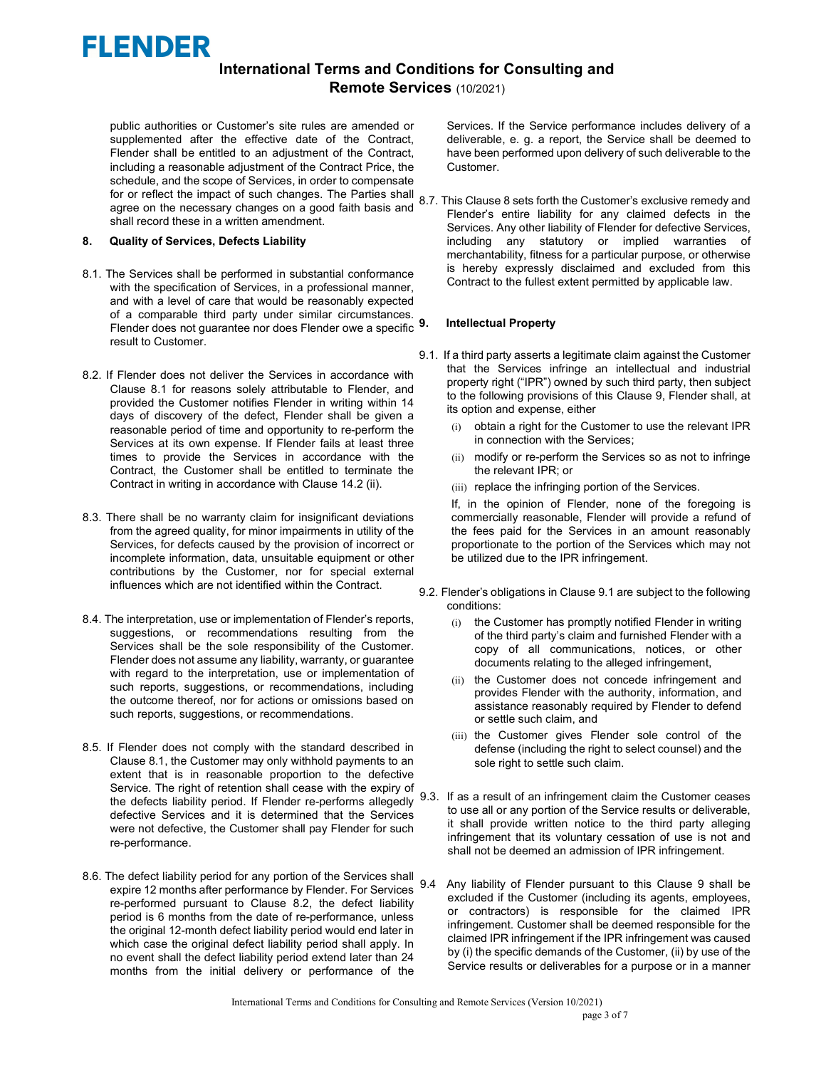

public authorities or Customer's site rules are amended or supplemented after the effective date of the Contract. Flender shall be entitled to an adjustment of the Contract, including a reasonable adjustment of the Contract Price, the schedule, and the scope of Services, in order to compensate for or reflect the impact of such changes. The Parties shall agree on the necessary changes on a good faith basis and shall record these in a written amendment.

#### 8. Quality of Services, Defects Liability

- 8.1. The Services shall be performed in substantial conformance with the specification of Services, in a professional manner, and with a level of care that would be reasonably expected of a comparable third party under similar circumstances. Flender does not guarantee nor does Flender owe a specific result to Customer.
- 8.2. If Flender does not deliver the Services in accordance with Clause 8.1 for reasons solely attributable to Flender, and provided the Customer notifies Flender in writing within 14 days of discovery of the defect, Flender shall be given a reasonable period of time and opportunity to re-perform the Services at its own expense. If Flender fails at least three times to provide the Services in accordance with the Contract, the Customer shall be entitled to terminate the Contract in writing in accordance with Clause 14.2 (ii).
- 8.3. There shall be no warranty claim for insignificant deviations from the agreed quality, for minor impairments in utility of the Services, for defects caused by the provision of incorrect or incomplete information, data, unsuitable equipment or other contributions by the Customer, nor for special external influences which are not identified within the Contract.
- 8.4. The interpretation, use or implementation of Flender's reports, suggestions, or recommendations resulting from the Services shall be the sole responsibility of the Customer. Flender does not assume any liability, warranty, or guarantee with regard to the interpretation, use or implementation of such reports, suggestions, or recommendations, including the outcome thereof, nor for actions or omissions based on such reports, suggestions, or recommendations.
- 8.5. If Flender does not comply with the standard described in Clause 8.1, the Customer may only withhold payments to an extent that is in reasonable proportion to the defective Service. The right of retention shall cease with the expiry of the defects liability period. If Flender re-performs allegedly 9.3. defective Services and it is determined that the Services were not defective, the Customer shall pay Flender for such re-performance.
- 8.6. The defect liability period for any portion of the Services shall expire 12 months after performance by Flender. For Services 9.4 re-performed pursuant to Clause 8.2, the defect liability period is 6 months from the date of re-performance, unless the original 12-month defect liability period would end later in which case the original defect liability period shall apply. In no event shall the defect liability period extend later than 24 months from the initial delivery or performance of the

Services. If the Service performance includes delivery of a deliverable, e. g. a report, the Service shall be deemed to have been performed upon delivery of such deliverable to the Customer.

8.7. This Clause 8 sets forth the Customer's exclusive remedy and Flender's entire liability for any claimed defects in the Services. Any other liability of Flender for defective Services, including any statutory or implied warranties of merchantability, fitness for a particular purpose, or otherwise is hereby expressly disclaimed and excluded from this Contract to the fullest extent permitted by applicable law.

### Intellectual Property

- 9.1. If a third party asserts a legitimate claim against the Customer that the Services infringe an intellectual and industrial property right ("IPR") owned by such third party, then subject to the following provisions of this Clause 9, Flender shall, at its option and expense, either
	- (i) obtain a right for the Customer to use the relevant IPR in connection with the Services;
	- (ii) modify or re-perform the Services so as not to infringe the relevant IPR; or
	- (iii) replace the infringing portion of the Services.

If, in the opinion of Flender, none of the foregoing is commercially reasonable, Flender will provide a refund of the fees paid for the Services in an amount reasonably proportionate to the portion of the Services which may not be utilized due to the IPR infringement.

- 9.2. Flender's obligations in Clause 9.1 are subject to the following conditions:
	- (i) the Customer has promptly notified Flender in writing of the third party's claim and furnished Flender with a copy of all communications, notices, or other documents relating to the alleged infringement,
	- (ii) the Customer does not concede infringement and provides Flender with the authority, information, and assistance reasonably required by Flender to defend or settle such claim, and
	- (iii) the Customer gives Flender sole control of the defense (including the right to select counsel) and the sole right to settle such claim.
	- If as a result of an infringement claim the Customer ceases to use all or any portion of the Service results or deliverable, it shall provide written notice to the third party alleging infringement that its voluntary cessation of use is not and shall not be deemed an admission of IPR infringement.
	- Any liability of Flender pursuant to this Clause 9 shall be excluded if the Customer (including its agents, employees, or contractors) is responsible for the claimed IPR infringement. Customer shall be deemed responsible for the claimed IPR infringement if the IPR infringement was caused by (i) the specific demands of the Customer, (ii) by use of the Service results or deliverables for a purpose or in a manner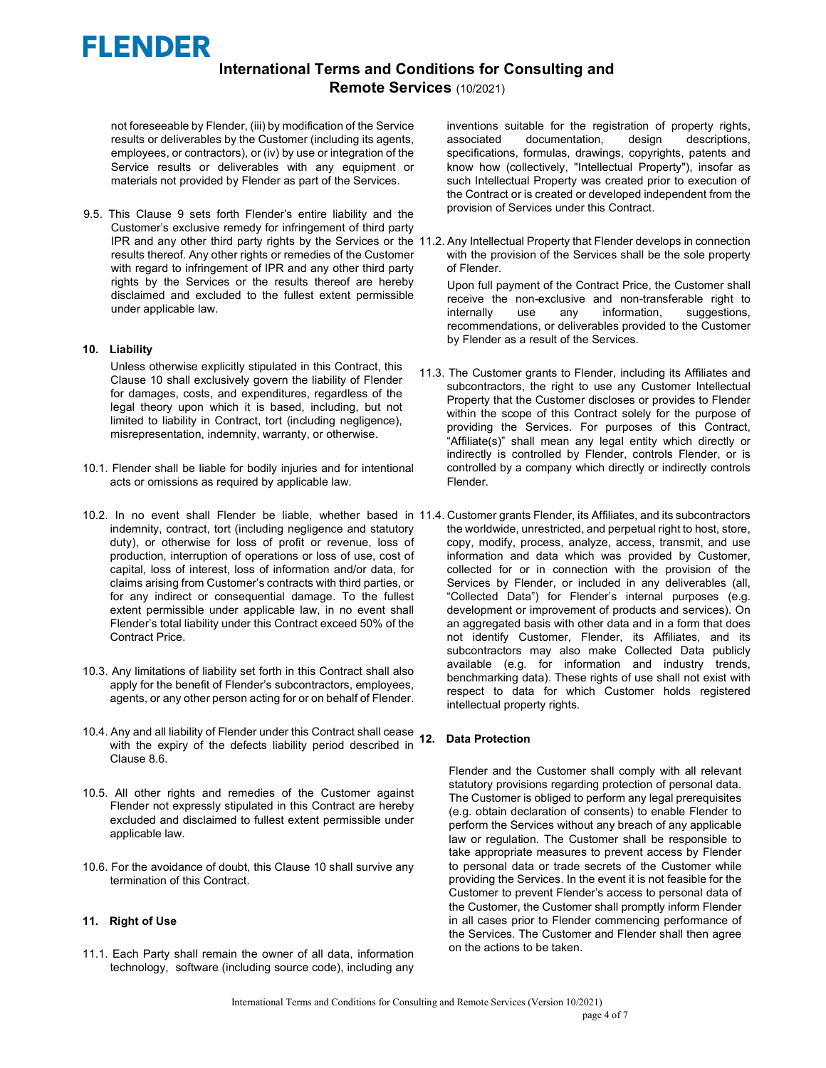

not foreseeable by Flender, (iii) by modification of the Service results or deliverables by the Customer (including its agents, employees, or contractors), or (iv) by use or integration of the Service results or deliverables with any equipment or materials not provided by Flender as part of the Services.

9.5. This Clause 9 sets forth Flender's entire liability and the Customer's exclusive remedy for infringement of third party results thereof. Any other rights or remedies of the Customer with regard to infringement of IPR and any other third party rights by the Services or the results thereof are hereby disclaimed and excluded to the fullest extent permissible under applicable law.

#### 10. Liability

Unless otherwise explicitly stipulated in this Contract, this Clause 10 shall exclusively govern the liability of Flender for damages, costs, and expenditures, regardless of the legal theory upon which it is based, including, but not limited to liability in Contract, tort (including negligence), misrepresentation, indemnity, warranty, or otherwise.

- 10.1. Flender shall be liable for bodily injuries and for intentional acts or omissions as required by applicable law.
- 10.2. In no event shall Flender be liable, whether based in 11.4. Customer grants Flender, its Affiliates, and its subcontractors indemnity, contract, tort (including negligence and statutory duty), or otherwise for loss of profit or revenue, loss of production, interruption of operations or loss of use, cost of capital, loss of interest, loss of information and/or data, for claims arising from Customer's contracts with third parties, or for any indirect or consequential damage. To the fullest extent permissible under applicable law, in no event shall Flender's total liability under this Contract exceed 50% of the Contract Price.
- 10.3. Any limitations of liability set forth in this Contract shall also apply for the benefit of Flender's subcontractors, employees, agents, or any other person acting for or on behalf of Flender.
- 10.4. Any and all liability of Flender under this Contract shall cease<br>with the expiry of the defects liability period described in 12. Data Protection with the expiry of the defects liability period described in Clause 8.6.
- 10.5. All other rights and remedies of the Customer against Flender not expressly stipulated in this Contract are hereby excluded and disclaimed to fullest extent permissible under applicable law.
- 10.6. For the avoidance of doubt, this Clause 10 shall survive any termination of this Contract.

### 11. Right of Use

11.1. Each Party shall remain the owner of all data, information technology, software (including source code), including any

inventions suitable for the registration of property rights, associated documentation, design descriptions, specifications, formulas, drawings, copyrights, patents and know how (collectively, "Intellectual Property"), insofar as such Intellectual Property was created prior to execution of the Contract or is created or developed independent from the provision of Services under this Contract.

IPR and any other third party rights by the Services or the 11.2. Any Intellectual Property that Flender develops in connection with the provision of the Services shall be the sole property of Flender.

> Upon full payment of the Contract Price, the Customer shall receive the non-exclusive and non-transferable right to internally use any information, suggestions, recommendations, or deliverables provided to the Customer by Flender as a result of the Services.

- 11.3. The Customer grants to Flender, including its Affiliates and subcontractors, the right to use any Customer Intellectual Property that the Customer discloses or provides to Flender within the scope of this Contract solely for the purpose of providing the Services. For purposes of this Contract, "Affiliate(s)" shall mean any legal entity which directly or indirectly is controlled by Flender, controls Flender, or is controlled by a company which directly or indirectly controls Flender.
- the worldwide, unrestricted, and perpetual right to host, store, copy, modify, process, analyze, access, transmit, and use information and data which was provided by Customer, collected for or in connection with the provision of the Services by Flender, or included in any deliverables (all, "Collected Data") for Flender's internal purposes (e.g. development or improvement of products and services). On an aggregated basis with other data and in a form that does not identify Customer, Flender, its Affiliates, and its subcontractors may also make Collected Data publicly available (e.g. for information and industry trends, benchmarking data). These rights of use shall not exist with respect to data for which Customer holds registered intellectual property rights.

Flender and the Customer shall comply with all relevant statutory provisions regarding protection of personal data. The Customer is obliged to perform any legal prerequisites (e.g. obtain declaration of consents) to enable Flender to perform the Services without any breach of any applicable law or regulation. The Customer shall be responsible to take appropriate measures to prevent access by Flender to personal data or trade secrets of the Customer while providing the Services. In the event it is not feasible for the Customer to prevent Flender's access to personal data of the Customer, the Customer shall promptly inform Flender in all cases prior to Flender commencing performance of the Services. The Customer and Flender shall then agree on the actions to be taken.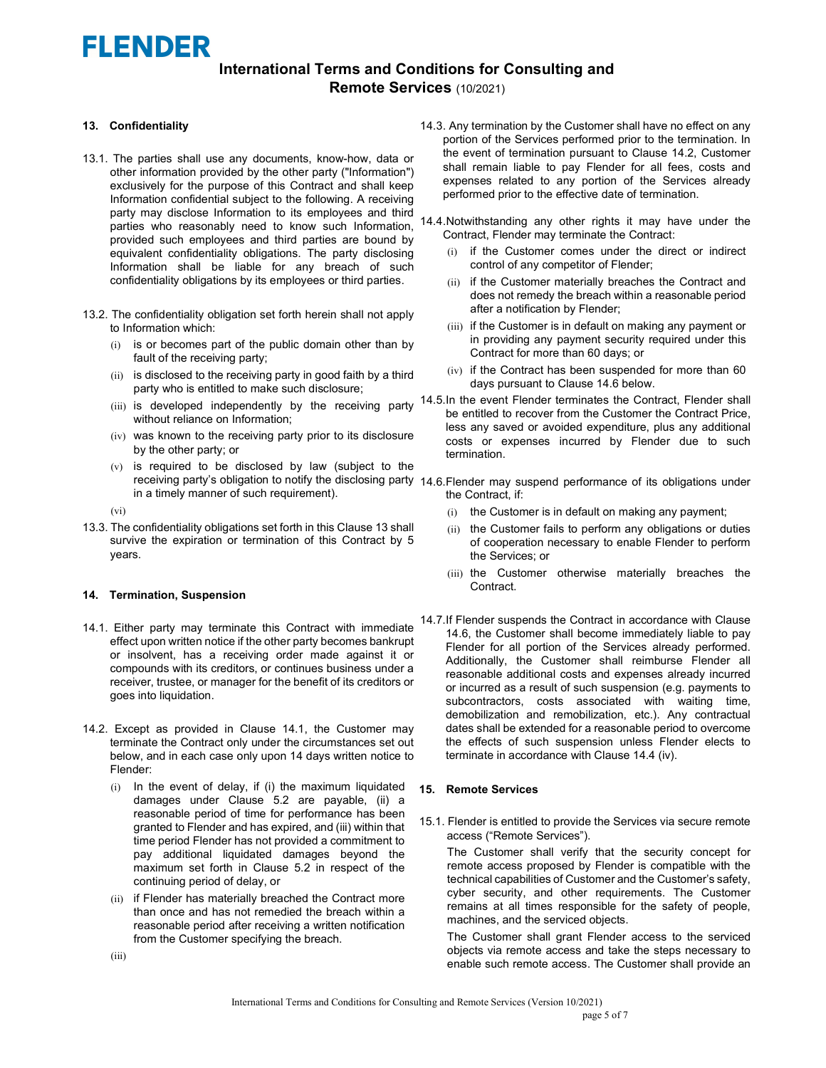# **FLENDER**

# International Terms and Conditions for Consulting and Remote Services (10/2021)

## 13. Confidentiality

- 13.1. The parties shall use any documents, know-how, data or other information provided by the other party ("Information") exclusively for the purpose of this Contract and shall keep Information confidential subject to the following. A receiving party may disclose Information to its employees and third parties who reasonably need to know such Information, provided such employees and third parties are bound by equivalent confidentiality obligations. The party disclosing Information shall be liable for any breach of such confidentiality obligations by its employees or third parties.
- 13.2. The confidentiality obligation set forth herein shall not apply to Information which:
	- (i) is or becomes part of the public domain other than by fault of the receiving party;
	- (ii) is disclosed to the receiving party in good faith by a third party who is entitled to make such disclosure;
	- (iii) is developed independently by the receiving party without reliance on Information;
	- (iv) was known to the receiving party prior to its disclosure by the other party; or
	- (v) is required to be disclosed by law (subject to the in a timely manner of such requirement).

(vi)

13.3. The confidentiality obligations set forth in this Clause 13 shall survive the expiration or termination of this Contract by 5 years.

#### 14. Termination, Suspension

- 14.1. Either party may terminate this Contract with immediate effect upon written notice if the other party becomes bankrupt or insolvent, has a receiving order made against it or compounds with its creditors, or continues business under a receiver, trustee, or manager for the benefit of its creditors or goes into liquidation.
- 14.2. Except as provided in Clause 14.1, the Customer may terminate the Contract only under the circumstances set out below, and in each case only upon 14 days written notice to Flender:
	- (i) In the event of delay, if (i) the maximum liquidated damages under Clause 5.2 are payable, (ii) a reasonable period of time for performance has been granted to Flender and has expired, and (iii) within that time period Flender has not provided a commitment to pay additional liquidated damages beyond the maximum set forth in Clause 5.2 in respect of the continuing period of delay, or
	- (ii) if Flender has materially breached the Contract more than once and has not remedied the breach within a reasonable period after receiving a written notification from the Customer specifying the breach.
- 14.3 . Any termination by the Customer shall have no effect on any portion of the Services performed prior to the termination. In the event of termination pursuant to Clause 14.2, Customer shall remain liable to pay Flender for all fees, costs and expenses related to any portion of the Services already performed prior to the effective date of termination.
- 14.4 .Notwithstanding any other rights it may have under the Contract, Flender may terminate the Contract:
	- (i) if the Customer comes under the direct or indirect control of any competitor of Flender;
	- (ii) if the Customer materially breaches the Contract and does not remedy the breach within a reasonable period after a notification by Flender;
	- (iii) if the Customer is in default on making any payment or in providing any payment security required under this Contract for more than 60 days; or
	- (iv) if the Contract has been suspended for more than 60 days pursuant to Clause 14.6 below.
- 14.5. In the event Flender terminates the Contract, Flender shall be entitled to recover from the Customer the Contract Price, less any saved or avoided expenditure, plus any additional costs or expenses incurred by Flender due to such termination.
- receiving party's obligation to notify the disclosing party 14.6. Flender may suspend performance of its obligations under the Contract, if:
	- (i) the Customer is in default on making any payment;
	- (ii) the Customer fails to perform any obligations or duties of cooperation necessary to enable Flender to perform the Services; or
	- (iii) the Customer otherwise materially breaches the Contract.
	- 14.7. If Flender suspends the Contract in accordance with Clause 14.6, the Customer shall become immediately liable to pay Flender for all portion of the Services already performed. Additionally, the Customer shall reimburse Flender all reasonable additional costs and expenses already incurred or incurred as a result of such suspension (e.g. payments to subcontractors, costs associated with waiting time, demobilization and remobilization, etc.). Any contractual dates shall be extended for a reasonable period to overcome the effects of such suspension unless Flender elects to terminate in accordance with Clause 14.4 (iv).

#### 15. Remote Services

15.1. Flender is entitled to provide the Services via secure remote access ("Remote Services").

The Customer shall verify that the security concept for remote access proposed by Flender is compatible with the technical capabilities of Customer and the Customer's safety, cyber security, and other requirements. The Customer remains at all times responsible for the safety of people, machines, and the serviced objects.

The Customer shall grant Flender access to the serviced objects via remote access and take the steps necessary to enable such remote access. The Customer shall provide an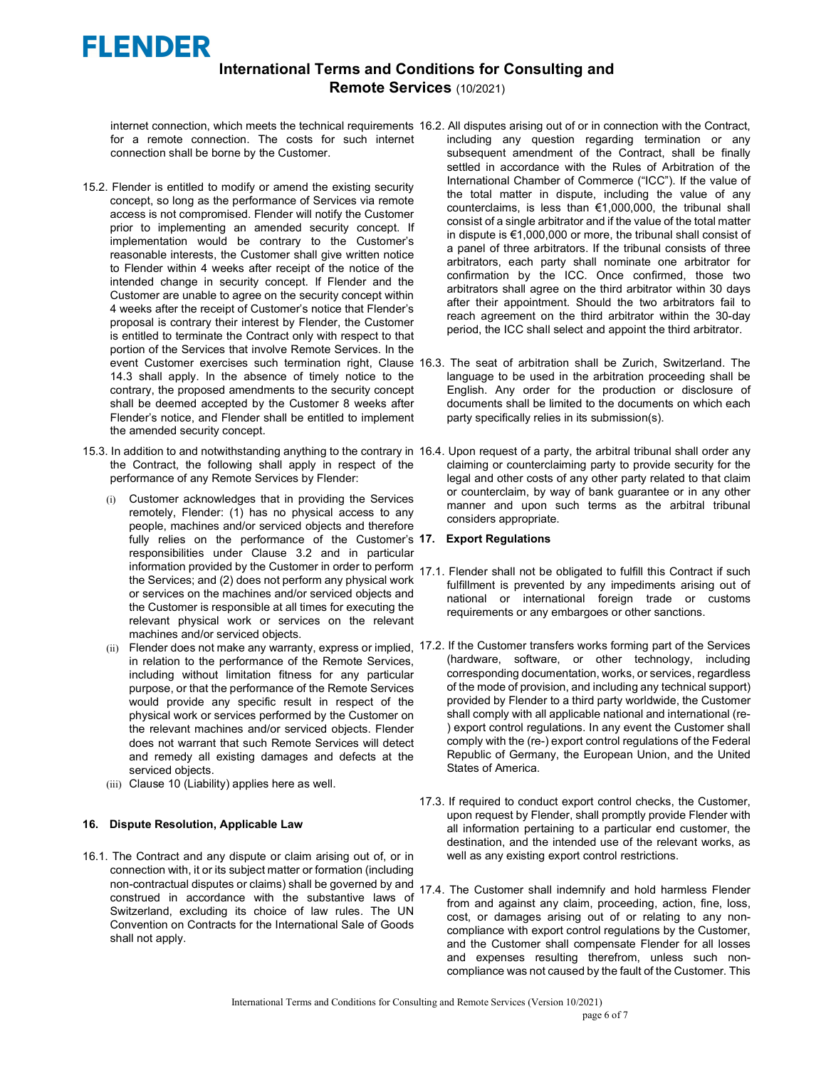

for a remote connection. The costs for such internet connection shall be borne by the Customer.

- 15.2. Flender is entitled to modify or amend the existing security concept, so long as the performance of Services via remote access is not compromised. Flender will notify the Customer prior to implementing an amended security concept. If implementation would be contrary to the Customer's reasonable interests, the Customer shall give written notice to Flender within 4 weeks after receipt of the notice of the intended change in security concept. If Flender and the Customer are unable to agree on the security concept within 4 weeks after the receipt of Customer's notice that Flender's proposal is contrary their interest by Flender, the Customer is entitled to terminate the Contract only with respect to that portion of the Services that involve Remote Services. In the 14.3 shall apply. In the absence of timely notice to the contrary, the proposed amendments to the security concept shall be deemed accepted by the Customer 8 weeks after Flender's notice, and Flender shall be entitled to implement the amended security concept.
- 15.3. In addition to and notwithstanding anything to the contrary in 16.4. Upon request of a party, the arbitral tribunal shall order any the Contract, the following shall apply in respect of the performance of any Remote Services by Flender:
	- (i) Customer acknowledges that in providing the Services remotely, Flender: (1) has no physical access to any people, machines and/or serviced objects and therefore fully relies on the performance of the Customer's 17. Export Regulations responsibilities under Clause 3.2 and in particular information provided by the Customer in order to perform 17.1. Flender shall not be obligated to fulfill this Contract if such the Services; and (2) does not perform any physical work or services on the machines and/or serviced objects and the Customer is responsible at all times for executing the relevant physical work or services on the relevant machines and/or serviced objects.
	- in relation to the performance of the Remote Services, including without limitation fitness for any particular purpose, or that the performance of the Remote Services would provide any specific result in respect of the physical work or services performed by the Customer on the relevant machines and/or serviced objects. Flender does not warrant that such Remote Services will detect and remedy all existing damages and defects at the serviced objects.
	- (iii) Clause 10 (Liability) applies here as well.

#### 16. Dispute Resolution, Applicable Law

16.1. The Contract and any dispute or claim arising out of, or in connection with, it or its subject matter or formation (including non-contractual disputes or claims) shall be governed by and Switzerland, excluding its choice of law rules. The UN Convention on Contracts for the International Sale of Goods shall not apply.

- internet connection, which meets the technical requirements 16.2. All disputes arising out of or in connection with the Contract, including any question regarding termination or any subsequent amendment of the Contract, shall be finally settled in accordance with the Rules of Arbitration of the International Chamber of Commerce ("ICC"). If the value of the total matter in dispute, including the value of any counterclaims, is less than €1,000,000, the tribunal shall consist of a single arbitrator and if the value of the total matter in dispute is €1,000,000 or more, the tribunal shall consist of a panel of three arbitrators. If the tribunal consists of three arbitrators, each party shall nominate one arbitrator for confirmation by the ICC. Once confirmed, those two arbitrators shall agree on the third arbitrator within 30 days after their appointment. Should the two arbitrators fail to reach agreement on the third arbitrator within the 30-day period, the ICC shall select and appoint the third arbitrator.
- event Customer exercises such termination right, Clause 16.3. The seat of arbitration shall be Zurich, Switzerland. The language to be used in the arbitration proceeding shall be English. Any order for the production or disclosure of documents shall be limited to the documents on which each party specifically relies in its submission(s).
	- claiming or counterclaiming party to provide security for the legal and other costs of any other party related to that claim or counterclaim, by way of bank guarantee or in any other manner and upon such terms as the arbitral tribunal considers appropriate.

- fulfillment is prevented by any impediments arising out of national or international foreign trade or customs requirements or any embargoes or other sanctions.
- $\,$ (ii)  $\,$  Flender does not make any warranty, express or implied,  $\,$  17.2. If the Customer transfers works forming part of the Services (hardware, software, or other technology, including corresponding documentation, works, or services, regardless of the mode of provision, and including any technical support) provided by Flender to a third party worldwide, the Customer shall comply with all applicable national and international (re- ) export control regulations. In any event the Customer shall comply with the (re-) export control regulations of the Federal Republic of Germany, the European Union, and the United States of America.
	- 17.3. If required to conduct export control checks, the Customer, upon request by Flender, shall promptly provide Flender with all information pertaining to a particular end customer, the destination, and the intended use of the relevant works, as well as any existing export control restrictions.
- non-contractual disputes of claims) shall be governed by and 17.4. The Customer shall indemnify and hold harmless Flender<br>construed in accordance with the substantive laws of the sed against any claim presenting estien fin from and against any claim, proceeding, action, fine, loss, cost, or damages arising out of or relating to any noncompliance with export control regulations by the Customer, and the Customer shall compensate Flender for all losses and expenses resulting therefrom, unless such noncompliance was not caused by the fault of the Customer. This